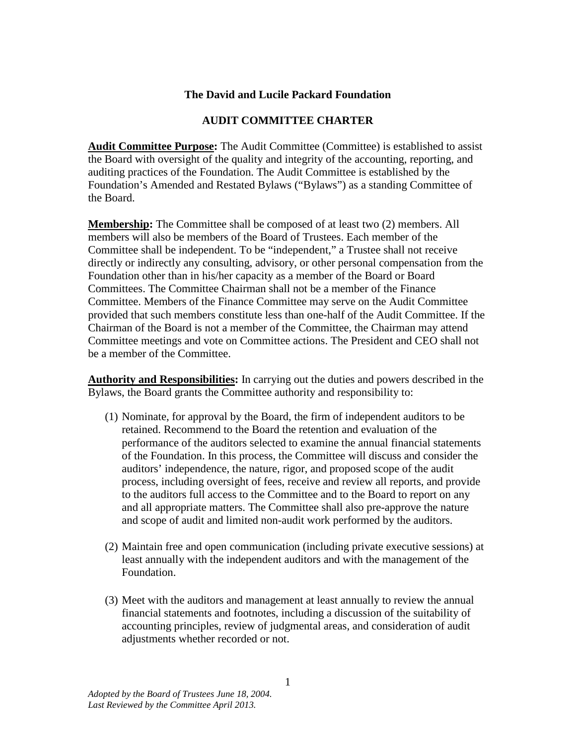## **The David and Lucile Packard Foundation**

## **AUDIT COMMITTEE CHARTER**

**Audit Committee Purpose:** The Audit Committee (Committee) is established to assist the Board with oversight of the quality and integrity of the accounting, reporting, and auditing practices of the Foundation. The Audit Committee is established by the Foundation's Amended and Restated Bylaws ("Bylaws") as a standing Committee of the Board.

**Membership:** The Committee shall be composed of at least two (2) members. All members will also be members of the Board of Trustees. Each member of the Committee shall be independent. To be "independent," a Trustee shall not receive directly or indirectly any consulting, advisory, or other personal compensation from the Foundation other than in his/her capacity as a member of the Board or Board Committees. The Committee Chairman shall not be a member of the Finance Committee. Members of the Finance Committee may serve on the Audit Committee provided that such members constitute less than one-half of the Audit Committee. If the Chairman of the Board is not a member of the Committee, the Chairman may attend Committee meetings and vote on Committee actions. The President and CEO shall not be a member of the Committee.

**Authority and Responsibilities:** In carrying out the duties and powers described in the Bylaws, the Board grants the Committee authority and responsibility to:

- (1) Nominate, for approval by the Board, the firm of independent auditors to be retained. Recommend to the Board the retention and evaluation of the performance of the auditors selected to examine the annual financial statements of the Foundation. In this process, the Committee will discuss and consider the auditors' independence, the nature, rigor, and proposed scope of the audit process, including oversight of fees, receive and review all reports, and provide to the auditors full access to the Committee and to the Board to report on any and all appropriate matters. The Committee shall also pre-approve the nature and scope of audit and limited non-audit work performed by the auditors.
- (2) Maintain free and open communication (including private executive sessions) at least annually with the independent auditors and with the management of the Foundation.
- (3) Meet with the auditors and management at least annually to review the annual financial statements and footnotes, including a discussion of the suitability of accounting principles, review of judgmental areas, and consideration of audit adjustments whether recorded or not.